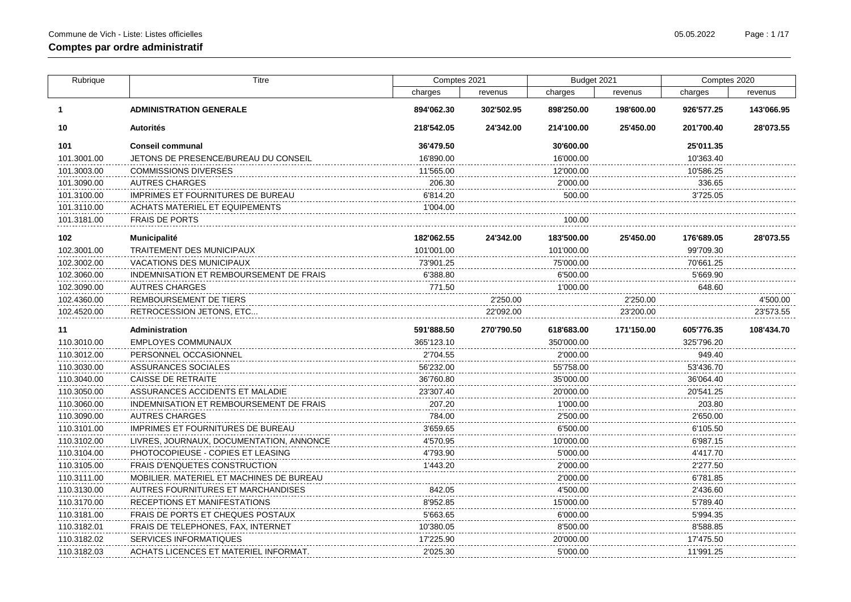| Rubrique    | Titre                                    | Comptes 2021 |            | Budget 2021 |            | Comptes 2020 |            |
|-------------|------------------------------------------|--------------|------------|-------------|------------|--------------|------------|
|             |                                          | charges      | revenus    | charges     | revenus    | charges      | revenus    |
| 1.          | <b>ADMINISTRATION GENERALE</b>           | 894'062.30   | 302'502.95 | 898'250.00  | 198'600.00 | 926'577.25   | 143'066.95 |
| 10          | <b>Autorités</b>                         | 218'542.05   | 24'342.00  | 214'100.00  | 25'450.00  | 201'700.40   | 28'073.55  |
| 101         | <b>Conseil communal</b>                  | 36'479.50    |            | 30'600.00   |            | 25'011.35    |            |
| 101.3001.00 | JETONS DE PRESENCE/BUREAU DU CONSEIL     | 16'890.00    |            | 16'000.00   |            | 10'363.40    |            |
| 101.3003.00 | <b>COMMISSIONS DIVERSES</b>              | 11'565.00    |            | 12'000.00   |            | 10'586.25    |            |
| 101.3090.00 | <b>AUTRES CHARGES</b>                    | 206.30       |            | 2'000.00    |            | 336.65       |            |
| 101.3100.00 | IMPRIMES ET FOURNITURES DE BUREAU        | 6'814.20     |            | 500.00      |            | 3'725.05     |            |
| 101.3110.00 | <b>ACHATS MATERIEL ET EQUIPEMENTS</b>    | 1'004.00     |            |             |            |              |            |
| 101.3181.00 | <b>FRAIS DE PORTS</b>                    |              |            | 100.00      |            |              |            |
| 102         | Municipalité                             | 182'062.55   | 24'342.00  | 183'500.00  | 25'450.00  | 176'689.05   | 28'073.55  |
| 102.3001.00 | TRAITEMENT DES MUNICIPAUX                | 101'001.00   |            | 101'000.00  |            | 99'709.30    |            |
| 102.3002.00 | <b>VACATIONS DES MUNICIPAUX</b>          | 73'901.25    |            | 75'000.00   |            | 70'661.25    |            |
| 102.3060.00 | INDEMNISATION ET REMBOURSEMENT DE FRAIS  | 6'388.80     |            | 6'500.00    |            | 5'669.90     |            |
| 102.3090.00 | AUTRES CHARGES                           | 771.50       |            | 1'000.00    |            | 648.60       |            |
| 102.4360.00 | REMBOURSEMENT DE TIERS                   |              | 2'250.00   |             | 2'250.00   |              | 4'500.00   |
| 102.4520.00 | RETROCESSION JETONS, ETC                 |              | 22'092.00  |             | 23'200.00  |              | 23'573.55  |
| 11          | Administration                           | 591'888.50   | 270'790.50 | 618'683.00  | 171'150.00 | 605'776.35   | 108'434.70 |
| 110.3010.00 | <b>EMPLOYES COMMUNAUX</b>                | 365'123.10   |            | 350'000.00  |            | 325'796.20   |            |
| 110.3012.00 | PERSONNEL OCCASIONNEL                    | 2'704.55     |            | 2'000.00    |            | 949.40       |            |
| 110.3030.00 | ASSURANCES SOCIALES                      | 56'232.00    |            | 55'758.00   |            | 53'436.70    |            |
| 110.3040.00 | <b>CAISSE DE RETRAITE</b>                | 36'760.80    |            | 35'000.00   |            | 36'064.40    |            |
| 110.3050.00 | ASSURANCES ACCIDENTS ET MALADIE          | 23'307.40    |            | 20'000.00   |            | 20'541.25    |            |
| 110.3060.00 | INDEMNISATION ET REMBOURSEMENT DE FRAIS  | 207.20       |            | 1'000.00    |            | 203.80       |            |
| 110.3090.00 | <b>AUTRES CHARGES</b>                    | 784.00       |            | 2'500.00    |            | 2'650.00     |            |
| 110.3101.00 | IMPRIMES ET FOURNITURES DE BUREAU        | 3'659.65     |            | 6'500.00    |            | 6'105.50     |            |
| 110.3102.00 | LIVRES, JOURNAUX, DOCUMENTATION, ANNONCE | 4'570.95     |            | 10'000.00   |            | 6'987.15     |            |
| 110.3104.00 | PHOTOCOPIEUSE - COPIES ET LEASING        | 4'793.90     |            | 5'000.00    |            | 4'417.70     |            |
| 110.3105.00 | FRAIS D'ENQUETES CONSTRUCTION            | 1'443.20     |            | 2'000.00    |            | 2'277.50     |            |
| 110.3111.00 | MOBILIER, MATERIEL ET MACHINES DE BUREAU |              |            | 2'000.00    |            | 6'781.85     |            |
| 110.3130.00 | AUTRES FOURNITURES ET MARCHANDISES       | 842.05       |            | 4'500.00    |            | 2'436.60     |            |
| 110.3170.00 | RECEPTIONS ET MANIFESTATIONS             | 8'952.85     |            | 15'000.00   |            | 5'789.40     |            |
| 110.3181.00 | FRAIS DE PORTS ET CHEQUES POSTAUX        | 5'663.65     |            | 6'000.00    |            | 5'994.35     |            |
| 110.3182.01 | FRAIS DE TELEPHONES, FAX, INTERNET       | 10'380.05    |            | 8'500.00    |            | 8'588.85     |            |
| 110.3182.02 | <b>SERVICES INFORMATIQUES</b>            | 17'225.90    |            | 20'000.00   |            | 17'475.50    |            |
| 110.3182.03 | ACHATS LICENCES ET MATERIEL INFORMAT.    | 2'025.30     |            | 5'000.00    |            | 11'991.25    |            |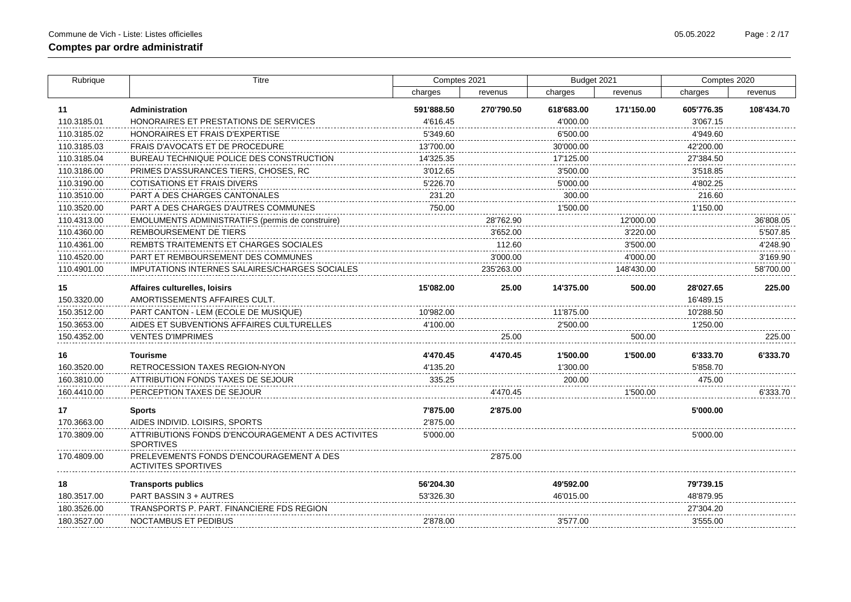$\overline{a}$ 

 $\sim$ 

| Rubrique    | <b>Titre</b>                                     | Comptes 2021 |            | Budget 2021 |            | Comptes 2020 |                        |
|-------------|--------------------------------------------------|--------------|------------|-------------|------------|--------------|------------------------|
|             |                                                  | charges      | revenus    | charges     | revenus    | charges      | revenus                |
| 11          | Administration                                   | 591'888.50   | 270'790.50 | 618'683.00  | 171'150.00 | 605'776.35   | 108'434.70             |
| 110.3185.01 | HONORAIRES ET PRESTATIONS DE SERVICES            | 4'616.45     |            | 4'000.00    |            | 3'067.15     |                        |
| 110.3185.02 | HONORAIRES ET FRAIS D'EXPERTISE                  | 5'349.60     |            | 6'500.00    |            | 4'949.60     |                        |
| 110.3185.03 | FRAIS D'AVOCATS ET DE PROCEDURE                  | 13'700.00    |            | 30'000.00   |            | 42'200.00    |                        |
| 110.3185.04 | BUREAU TECHNIQUE POLICE DES CONSTRUCTION         | 14'325.35    |            | 17'125.00   |            | 27'384.50    |                        |
| 110.3186.00 | PRIMES D'ASSURANCES TIERS, CHOSES, RC            | 3'012.65     |            | 3'500.00    |            | 3'518.85     |                        |
| 110.3190.00 | COTISATIONS ET FRAIS DIVERS                      | 5'226.70     |            | 5'000.00    |            | 4'802.25     |                        |
| 110.3510.00 | PART A DES CHARGES CANTONALES                    | 231.20       |            | 300.00      |            | 216.60       |                        |
| 110.3520.00 | PART A DES CHARGES D'AUTRES COMMUNES             | 750.00       |            | 1'500.00    |            | 1'150.00     |                        |
| 110.4313.00 | EMOLUMENTS ADMINISTRATIFS (permis de construire) |              | 28'762.90  |             | 12'000.00  |              | 36'808.05              |
| 110.4360.00 | REMBOURSEMENT DE TIERS                           |              | 3'652.00   |             | 3'220.00   |              | 5'507.85               |
| 110.4361.00 | REMBTS TRAITEMENTS ET CHARGES SOCIALES           |              | 112.60     |             | 3'500.00   |              | 4'248.90<br>---------- |
| 110.4520.00 | PART ET REMBOURSEMENT DES COMMUNES               |              | 3'000.00   |             | 4'000.00   |              | 3'169.90               |
| 110.4901.00 | IMPUTATIONS INTERNES SALAIRES/CHARGES SOCIALES   |              | 235'263.00 |             | 148'430.00 |              | 58'700.00              |
| 15          | Affaires culturelles, loisirs                    | 15'082.00    | 25.00      | 14'375.00   | 500.00     | 28'027.65    | 225.00                 |
| 150.3320.00 | AMORTISSEMENTS AFFAIRES CULT.                    |              |            |             |            | 16'489.15    |                        |
| 150.3512.00 | PART CANTON - LEM (ECOLE DE MUSIQUE)             |              |            | 11'875.00   |            | 10'288.50    |                        |
| 150.3653.00 | AIDES ET SUBVENTIONS AFFAIRES CULTURELLES        |              |            | 2'500.00    |            | 1'250.00     |                        |
| 150.4352.00 | <b>VENTES D'IMPRIMES</b>                         |              | 25.00      |             | 500.00     |              | 225.00                 |
| 16          | <b>Tourisme</b>                                  | 4'470.45     | 4'470.45   | 1'500.00    | 1'500.00   | 6'333.70     | 6'333.70               |
| 160.3520.00 | <b>RETROCESSION TAXES REGION-NYON</b>            | 4'135.20     |            | 1'300.00    |            | 5'858.70     |                        |
| 160.3810.00 | ATTRIBUTION FONDS TAXES DE SEJOUR                | 335.25       |            | 200.00      |            | 475.00       |                        |
| 160.4410.00 | PERCEPTION TAXES DE SEJOUR                       |              | 4'470.45   |             | 1'500.00   |              | 6'333.70               |
| 17          | Snorte                                           | 7'875.00     | 2'875.00   |             |            | הח חחחי      |                        |

| 17          | Sports                                                                 | 7'875.00  | 2'875.00  | 5'000.00  |
|-------------|------------------------------------------------------------------------|-----------|-----------|-----------|
| 170.3663.00 | AIDES INDIVID. LOISIRS, SPORTS                                         | 2'875.00  |           |           |
| 170.3809.00 | ATTRIBUTIONS FONDS D'ENCOURAGEMENT A DES ACTIVITES<br><b>SPORTIVES</b> | 5'000.00  |           | 5'000.00  |
| 170.4809.00 | PRELEVEMENTS FONDS D'ENCOURAGEMENT A DES<br>ACTIVITES SPORTIVES        |           | 2'875.00  |           |
| 18          | <b>Transports publics</b>                                              | 56'204.30 | 49'592.00 | 79'739.15 |
| 180.3517.00 | PART BASSIN 3 + AUTRES                                                 | 53'326.30 | 46'015.00 | 48'879.95 |
| 180.3526.00 | TRANSPORTS P. PART. FINANCIERE FDS REGION                              |           |           | 27'304 20 |
| 180.3527.00 | NOCTAMBUS ET PEDIBUS                                                   | 2'878.00  | 3'577.00  | 3'555.00  |
|             |                                                                        |           |           |           |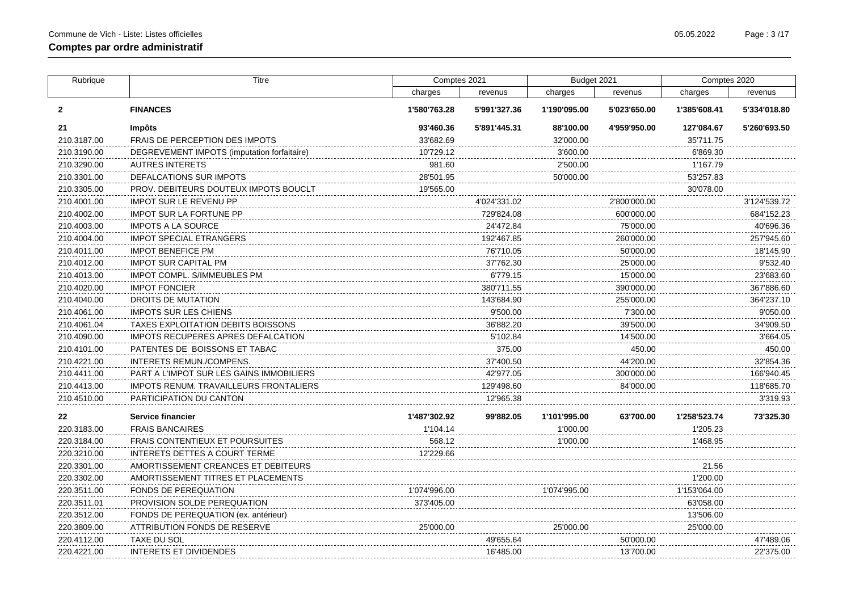| Rubrique     | <b>Titre</b>                                | Comptes 2021 |              | Budget 2021  |              | Comptes 2020 |              |
|--------------|---------------------------------------------|--------------|--------------|--------------|--------------|--------------|--------------|
|              |                                             | charges      | revenus      | charges      | revenus      | charges      | revenus      |
| $\mathbf{2}$ | <b>FINANCES</b>                             | 1'580'763.28 | 5'991'327.36 | 1'190'095.00 | 5'023'650.00 | 1'385'608.41 | 5'334'018.80 |
| 21           | Impôts                                      | 93'460.36    | 5'891'445.31 | 88'100.00    | 4'959'950.00 | 127'084.67   | 5'260'693.50 |
| 210.3187.00  | <b>FRAIS DE PERCEPTION DES IMPOTS</b>       | 33'682.69    |              | 32'000.00    |              | 35'711.75    |              |
| 210.3190.00  | DEGREVEMENT IMPOTS (imputation forfaitaire) | 10'729.12    |              | 3'600.00     |              | 6'869.30     |              |
| 210.3290.00  | <b>AUTRES INTERETS</b>                      | 981.60       |              | 2'500.00     |              | 1'167.79     |              |
| 210.3301.00  | DEFALCATIONS SUR IMPOTS                     | 28'501.95    |              | 50'000.00    |              | 53'257.83    |              |
| 210.3305.00  | PROV. DEBITEURS DOUTEUX IMPOTS BOUCLT       | 19'565.00    |              |              |              | 30'078.00    |              |
| 210.4001.00  | <b>IMPOT SUR LE REVENU PP</b>               |              | 4'024'331.02 |              | 2'800'000.00 |              | 3'124'539.72 |
| 210.4002.00  | <b>IMPOT SUR LA FORTUNE PP</b>              |              | 729'824.08   |              | 600'000.00   |              | 684'152.23   |
| 210.4003.00  | <b>IMPOTS A LA SOURCE</b>                   |              | 24'472.84    |              | 75'000.00    |              | 40'696.36    |
| 210.4004.00  | <b>IMPOT SPECIAL ETRANGERS</b>              |              | 192'467.85   |              | 260'000.00   |              | 257'945.60   |
| 210.4011.00  | <b>IMPOT BENEFICE PM</b>                    |              | 76'710.05    |              | 50'000.00    |              | 18'145.90    |
| 210.4012.00  | <b>IMPOT SUR CAPITAL PM</b>                 |              | 37'762.30    |              | 25'000.00    |              | 9'532.40     |
| 210.4013.00  | <b>IMPOT COMPL. S/IMMEUBLES PM</b>          |              | 6'779.15     |              | 15'000.00    |              | 23'683.60    |
| 210.4020.00  | <b>IMPOT FONCIER</b>                        |              | 380'711.55   |              | 390'000.00   |              | 367'886.60   |
| 210.4040.00  | DROITS DE MUTATION                          |              | 143'684.90   |              | 255'000.00   |              | 364'237.10   |
| 210.4061.00  | <b>IMPOTS SUR LES CHIENS</b>                |              | 9'500.00     |              | 7'300.00     |              | 9'050.00     |
| 210.4061.04  | TAXES EXPLOITATION DEBITS BOISSONS          |              | 36'882.20    |              | 39'500.00    |              | 34'909.50    |
| 210.4090.00  | <b>IMPOTS RECUPERES APRES DEFALCATION</b>   |              | 5'102.84     |              | 14'500.00    |              | 3'664.05     |
| 210.4101.00  | PATENTES DE BOISSONS ET TABAC               |              | 375.00       |              | 450.00       |              | 450.00       |
| 210.4221.00  | INTERETS REMUN./COMPENS.                    |              | 37'400.50    |              | 44'200.00    |              | 32'854.36    |
| 210.4411.00  | PART A L'IMPOT SUR LES GAINS IMMOBILIERS    |              | 42'977.05    |              | 300'000.00   |              | 166'940.45   |
| 210.4413.00  | IMPOTS RENUM. TRAVAILLEURS FRONTALIERS      |              | 129'498.60   |              | 84'000.00    |              | 118'685.70   |
| 210.4510.00  | PARTICIPATION DU CANTON                     |              | 12'965.38    |              |              |              | 3'319.93     |
| 22           | <b>Service financier</b>                    | 1'487'302.92 | 99'882.05    | 1'101'995.00 | 63'700.00    | 1'258'523.74 | 73'325.30    |
| 220.3183.00  | <b>FRAIS BANCAIRES</b>                      | 1'104.14     |              | 1'000.00     |              | 1'205.23     |              |
| 220.3184.00  | <b>FRAIS CONTENTIEUX ET POURSUITES</b>      | 568.12       |              | 1'000.00     |              | 1'468.95     |              |
| 220.3210.00  | <b>INTERETS DETTES A COURT TERME</b>        | 12'229.66    |              |              |              |              |              |
| 220.3301.00  | AMORTISSEMENT CREANCES ET DEBITEURS         |              |              |              |              | 21.56        |              |
| 220.3302.00  | AMORTISSEMENT TITRES ET PLACEMENTS          |              |              |              |              | 1'200.00     |              |
| 220.3511.00  | <b>FONDS DE PEREQUATION</b>                 | 1'074'996.00 |              | 1'074'995.00 |              | 1'153'064.00 |              |
| 220.3511.01  | PROVISION SOLDE PEREQUATION                 | 373'405.00   |              |              |              | 63'058.00    |              |
| 220.3512.00  | FONDS DE PEREQUATION (ex. antérieur)        |              |              |              |              | 13'506.00    |              |
| 220.3809.00  | ATTRIBUTION FONDS DE RESERVE                | 25'000.00    |              | 25'000.00    |              | 25'000.00    |              |
| 220.4112.00  | <b>TAXE DU SOL</b>                          |              | 49'655.64    |              | 50'000.00    |              | 47'489.06    |
| 220.4221.00  | INTERETS ET DIVIDENDES                      |              | 16'485.00    |              | 13'700.00    |              | 22'375.00    |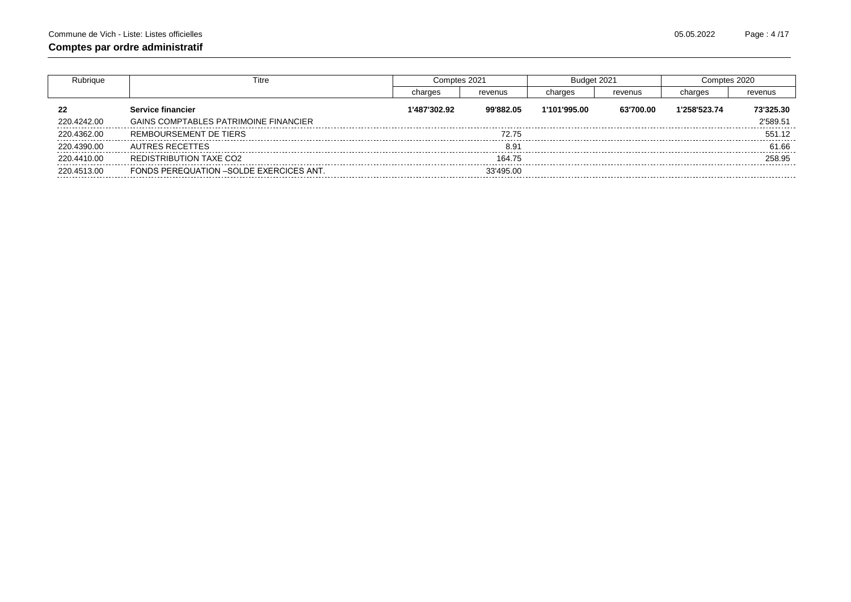| Rubrique    | Titre                                          |              | Comptes 2021 |              | Budget 2021 |              | Comptes 2020 |
|-------------|------------------------------------------------|--------------|--------------|--------------|-------------|--------------|--------------|
|             |                                                | charges      | revenus      | charges      | revenus     | charges      | revenus      |
| 22          | Service financier                              | 1'487'302.92 | 99'882.05    | 1'101'995.00 | 63'700.00   | 1'258'523.74 | 73'325.30    |
| 220.4242.00 | <b>GAINS COMPTABLES PATRIMOINE FINANCIER</b>   |              |              |              |             |              | 2'589.51     |
| 220.4362.00 | REMBOURSEMENT DE TIERS                         |              | 72.75        |              |             |              | 551.12       |
| 220.4390.00 | AUTRES RECETTES                                |              | 8.91         |              |             |              | 61.66        |
| 220.4410.00 | REDISTRIBUTION TAXE CO2                        |              | 164.75       |              |             |              | 258.95       |
| 220.4513.00 | <b>FONDS PEREQUATION -SOLDE EXERCICES ANT.</b> |              | 33'495.00    |              |             |              |              |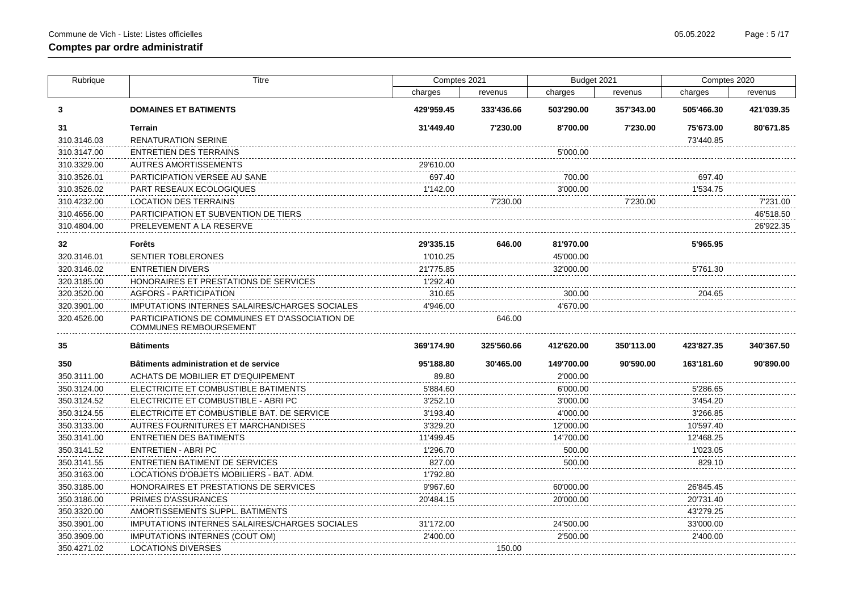| Rubrique    | <b>Titre</b>                                                                    | Comptes 2021 |            | Budget 2021 |            | Comptes 2020 |            |
|-------------|---------------------------------------------------------------------------------|--------------|------------|-------------|------------|--------------|------------|
|             |                                                                                 | charges      | revenus    | charges     | revenus    | charges      | revenus    |
| 3           | <b>DOMAINES ET BATIMENTS</b>                                                    | 429'959.45   | 333'436.66 | 503'290.00  | 357'343.00 | 505'466.30   | 421'039.35 |
| 31          | <b>Terrain</b>                                                                  | 31'449.40    | 7'230.00   | 8'700.00    | 7'230.00   | 75'673.00    | 80'671.85  |
| 310.3146.03 | <b>RENATURATION SERINE</b>                                                      |              |            |             |            | 73'440.85    |            |
| 310.3147.00 | <b>ENTRETIEN DES TERRAINS</b>                                                   |              |            | 5'000.00    |            |              |            |
| 310.3329.00 | AUTRES AMORTISSEMENTS                                                           | 29'610.00    |            |             |            |              |            |
| 310.3526.01 | <b>PARTICIPATION VERSEE AU SANE</b>                                             | 697.40       |            | 700.00      |            | 697.40       |            |
| 310.3526.02 | PART RESEAUX ECOLOGIQUES                                                        | 1'142.00     |            | 3'000.00    |            | 1'534.75     |            |
| 310.4232.00 | LOCATION DES TERRAINS                                                           |              | 7'230.00   |             | 7'230.00   |              | 7'231.00   |
| 310.4656.00 | PARTICIPATION ET SUBVENTION DE TIERS                                            |              |            |             |            |              | 46'518.50  |
| 310.4804.00 | PRELEVEMENT A LA RESERVE                                                        |              |            |             |            |              | 26'922.35  |
| 32          | <b>Forêts</b>                                                                   | 29'335.15    | 646.00     | 81'970.00   |            | 5'965.95     |            |
| 320.3146.01 | SENTIER TOBLERONES                                                              | 1'010.25     |            | 45'000.00   |            |              |            |
| 320.3146.02 | <b>ENTRETIEN DIVERS</b>                                                         | 21'775.85    |            | 32'000.00   |            | 5'761.30     |            |
| 320.3185.00 | HONORAIRES ET PRESTATIONS DE SERVICES                                           | 1'292.40     |            |             |            |              |            |
| 320.3520.00 | <b>AGFORS - PARTICIPATION</b>                                                   | 310.65       |            | 300.00      |            | 204.65       |            |
| 320.3901.00 | IMPUTATIONS INTERNES SALAIRES/CHARGES SOCIALES                                  | 4'946.00     |            | 4'670.00    |            |              |            |
| 320.4526.00 | PARTICIPATIONS DE COMMUNES ET D'ASSOCIATION DE<br><b>COMMUNES REMBOURSEMENT</b> |              | 646.00     |             |            |              |            |
| 35          | <b>Bâtiments</b>                                                                | 369'174.90   | 325'560.66 | 412'620.00  | 350'113.00 | 423'827.35   | 340'367.50 |
| 350         | Bâtiments administration et de service                                          | 95'188.80    | 30'465.00  | 149'700.00  | 90'590.00  | 163'181.60   | 90'890.00  |
| 350.3111.00 | ACHATS DE MOBILIER ET D'EQUIPEMENT                                              | 89.80        |            | 2'000.00    |            |              |            |
| 350.3124.00 | ELECTRICITE ET COMBUSTIBLE BATIMENTS                                            | 5'884.60     |            | 6'000.00    |            | 5'286.65     |            |
| 350.3124.52 | ELECTRICITE ET COMBUSTIBLE - ABRI PC                                            | 3'252.10     |            | 3'000.00    |            | 3'454.20     |            |
| 350.3124.55 | ELECTRICITE ET COMBUSTIBLE BAT. DE SERVICE                                      | 3'193.40     |            | 4'000.00    |            | 3'266.85     |            |
| 350.3133.00 | AUTRES FOURNITURES ET MARCHANDISES                                              | 3'329.20     |            | 12'000.00   |            | 10'597.40    |            |
| 350.3141.00 | <b>ENTRETIEN DES BATIMENTS</b>                                                  | 11'499.45    |            | 14'700.00   |            | 12'468.25    |            |
| 350.3141.52 | <b>ENTRETIEN - ABRI PC</b>                                                      | 1'296.70     |            | 500.00      |            | 1'023.05     |            |
| 350.3141.55 | <b>ENTRETIEN BATIMENT DE SERVICES</b>                                           | 827.00       |            | 500.00      |            | 829.10       |            |
| 350.3163.00 | LOCATIONS D'OBJETS MOBILIERS - BAT. ADM.                                        | 1'792.80     |            |             |            |              |            |
| 350.3185.00 | HONORAIRES ET PRESTATIONS DE SERVICES                                           | 9'967.60     |            | 60'000.00   |            | 26'845.45    |            |
| 350.3186.00 | <b>PRIMES D'ASSURANCES</b>                                                      | 20'484.15    |            | 20'000.00   |            | 20'731.40    |            |
| 350.3320.00 | AMORTISSEMENTS SUPPL. BATIMENTS                                                 |              |            |             |            | 43'279.25    |            |
| 350.3901.00 | IMPUTATIONS INTERNES SALAIRES/CHARGES SOCIALES                                  | 31'172.00    |            | 24'500.00   |            | 33'000.00    |            |
| 350.3909.00 | <b>IMPUTATIONS INTERNES (COUT OM)</b>                                           | 2'400.00     |            | 2'500.00    |            | 2'400.00     |            |
| 350.4271.02 | LOCATIONS DIVERSES                                                              |              | 150.00     |             |            |              |            |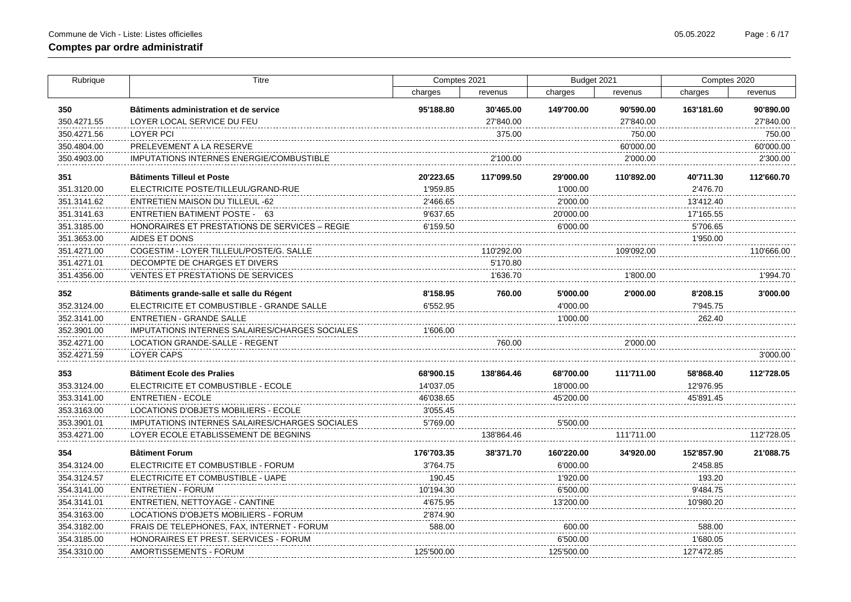| Rubrique    | Titre                                                 | Comptes 2021 |            | Budget 2021 |            | Comptes 2020 |            |
|-------------|-------------------------------------------------------|--------------|------------|-------------|------------|--------------|------------|
|             |                                                       | charges      | revenus    | charges     | revenus    | charges      | revenus    |
| 350         | Bâtiments administration et de service                | 95'188.80    | 30'465.00  | 149'700.00  | 90'590.00  | 163'181.60   | 90'890.00  |
| 350.4271.55 | LOYER LOCAL SERVICE DU FEU                            |              | 27'840.00  |             | 27'840.00  |              | 27'840.00  |
| 350.4271.56 | <b>LOYER PCI</b>                                      |              | 375.00     |             | 750.00     |              | 750.00     |
| 350.4804.00 | PRELEVEMENT A LA RESERVE                              |              |            |             | 60'000.00  |              | 60'000.00  |
| 350.4903.00 | <b>IMPUTATIONS INTERNES ENERGIE/COMBUSTIBLE</b>       |              | 2'100.00   |             | 2'000.00   |              | 2'300.00   |
| 351         | <b>Bâtiments Tilleul et Poste</b>                     | 20'223.65    | 117'099.50 | 29'000.00   | 110'892.00 | 40'711.30    | 112'660.70 |
| 351.3120.00 | ELECTRICITE POSTE/TILLEUL/GRAND-RUE                   | 1'959.85     |            | 1'000.00    |            | 2'476.70     |            |
| 351.3141.62 | ENTRETIEN MAISON DU TILLEUL -62                       | 2'466.65     |            | 2'000.00    |            | 13'412.40    |            |
| 351.3141.63 | ENTRETIEN BATIMENT POSTE - 63                         | 9'637.65     |            | 20'000.00   |            | 17'165.55    |            |
| 351.3185.00 | HONORAIRES ET PRESTATIONS DE SERVICES – REGIE         | 6'159.50     |            | 6'000.00    |            | 5'706.65     |            |
| 351.3653.00 | AIDES ET DONS                                         |              |            |             |            | 1'950.00     |            |
| 351.4271.00 | COGESTIM - LOYER TILLEUL/POSTE/G. SALLE               |              | 110'292.00 |             | 109'092.00 |              | 110'666.00 |
| 351.4271.01 | DECOMPTE DE CHARGES ET DIVERS                         |              | 5'170.80   |             |            |              |            |
| 351.4356.00 | VENTES ET PRESTATIONS DE SERVICES                     |              | 1'636.70   |             | 1'800.00   |              | 1'994.70   |
| 352         | Bâtiments grande-salle et salle du Régent             | 8'158.95     | 760.00     | 5'000.00    | 2'000.00   | 8'208.15     | 3'000.00   |
| 352.3124.00 | ELECTRICITE ET COMBUSTIBLE - GRANDE SALLE             | 6'552.95     |            | 4'000.00    |            | 7'945.75     |            |
| 352.3141.00 | ENTRETIEN - GRANDE SALLE                              |              |            | 1'000.00    |            | 262.40       |            |
| 352.3901.00 | IMPUTATIONS INTERNES SALAIRES/CHARGES SOCIALES        | 1'606.00     |            |             |            |              |            |
| 352.4271.00 | LOCATION GRANDE-SALLE - REGENT                        |              | 760.00     |             | 2'000.00   |              |            |
| 352.4271.59 | LOYER CAPS                                            |              |            |             |            |              | 3'000.00   |
| 353         | <b>Bâtiment Ecole des Pralies</b>                     | 68'900.15    | 138'864.46 | 68'700.00   | 111'711.00 | 58'868.40    | 112'728.05 |
| 353.3124.00 | ELECTRICITE ET COMBUSTIBLE - ECOLE                    | 14'037.05    |            | 18'000.00   |            | 12'976.95    |            |
| 353.3141.00 | <b>ENTRETIEN - ECOLE</b>                              | 46'038.65    |            | 45'200.00   |            | 45'891.45    |            |
| 353.3163.00 | LOCATIONS D'OBJETS MOBILIERS - ECOLE                  | 3'055.45     |            |             |            |              |            |
| 353.3901.01 | <b>IMPUTATIONS INTERNES SALAIRES/CHARGES SOCIALES</b> | 5'769.00     |            | 5'500.00    |            |              |            |
| 353.4271.00 | LOYER ECOLE ETABLISSEMENT DE BEGNINS                  |              | 138'864.46 |             | 111'711.00 |              | 112'728.05 |
| 354         | <b>Bâtiment Forum</b>                                 | 176'703.35   | 38'371.70  | 160'220.00  | 34'920.00  | 152'857.90   | 21'088.75  |
| 354.3124.00 | ELECTRICITE ET COMBUSTIBLE - FORUM                    | 3'764.75     |            | 6'000.00    |            | 2'458.85     |            |
| 354.3124.57 | ELECTRICITE ET COMBUSTIBLE - UAPE                     | 190.45       |            | 1'920.00    |            | 193.20       |            |
| 354.3141.00 | <b>ENTRETIEN - FORUM</b>                              | 10'194.30    |            | 6'500.00    |            | 9'484.75     |            |
| 354.3141.01 | ENTRETIEN, NETTOYAGE - CANTINE                        | 4'675.95     |            | 13'200.00   |            | 10'980.20    |            |
| 354.3163.00 | LOCATIONS D'OBJETS MOBILIERS - FORUM                  | 2'874.90     |            |             |            |              |            |
| 354.3182.00 | FRAIS DE TELEPHONES, FAX, INTERNET - FORUM            | 588.00       |            | 600.00      |            | 588.00       |            |
| 354.3185.00 | HONORAIRES ET PREST. SERVICES - FORUM                 |              |            | 6'500.00    |            | 1'680.05     |            |
| 354.3310.00 | AMORTISSEMENTS - FORUM                                | 125'500.00   |            | 125'500.00  |            | 127'472.85   |            |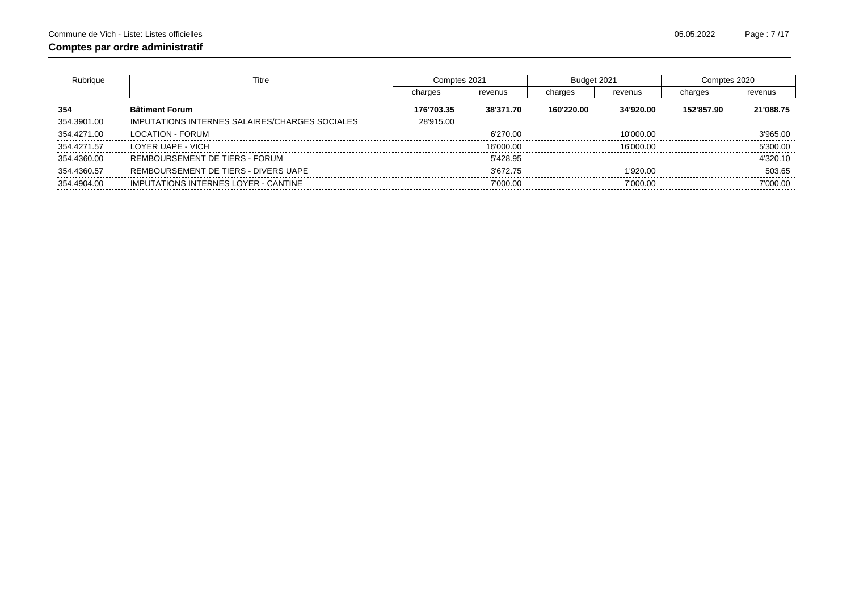| Rubrique    | Titre                                          | Comptes 2021 |           | Budget 2021 |           | Comptes 2020 |           |
|-------------|------------------------------------------------|--------------|-----------|-------------|-----------|--------------|-----------|
|             |                                                | charges      | revenus   | charges     | revenus   | charges      | revenus   |
| 354         | <b>Bâtiment Forum</b>                          | 176'703.35   | 38'371.70 | 160'220.00  | 34'920.00 | 152'857.90   | 21'088.75 |
| 354.3901.00 | IMPUTATIONS INTERNES SALAIRES/CHARGES SOCIALES | 28'915.00    |           |             |           |              |           |
| 354.4271.00 | LOCATION - FORUM                               |              | 6'270.00  |             | 10'000.00 |              | 3'965.00  |
| 354.4271.57 | LOYER UAPE - VICH                              |              | 16'000.00 |             | 16'000.00 |              | 5'300.00  |
| 354.4360.00 | REMBOURSEMENT DE TIERS - FORUM                 |              | 5'428.95  |             |           |              | 4'320.10  |
| 354.4360.57 | REMBOURSEMENT DE TIERS - DIVERS UAPE           |              | 3'672.75  |             | 1'920.00  |              | 503.65    |
| 354.4904.00 | <b>IMPUTATIONS INTERNES LOYER - CANTINE</b>    |              | 7'000.00  |             | 7'000.00  |              | 7'000.00  |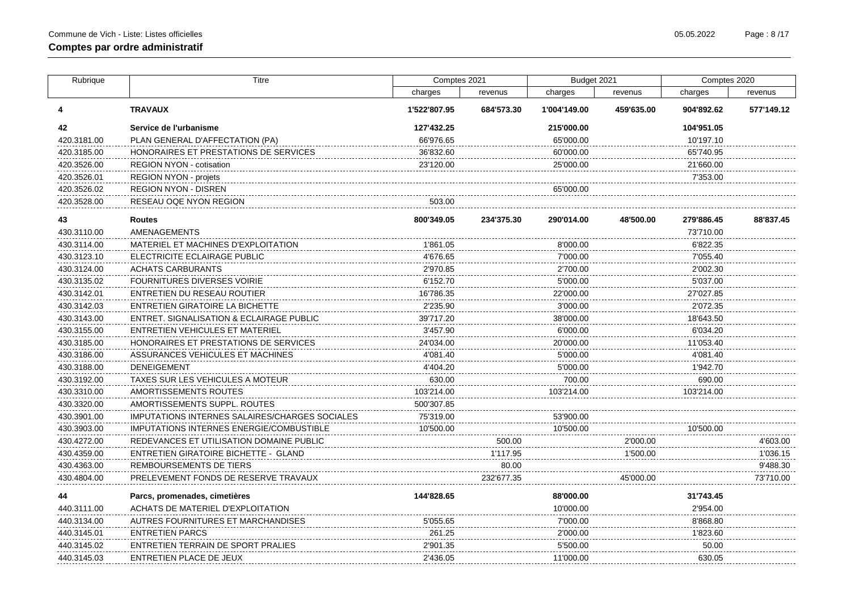| Rubrique    | Titre                                           | Comptes 2021 |            | Budget 2021  |            | Comptes 2020 |            |
|-------------|-------------------------------------------------|--------------|------------|--------------|------------|--------------|------------|
|             |                                                 | charges      | revenus    | charges      | revenus    | charges      | revenus    |
| 4           | <b>TRAVAUX</b>                                  | 1'522'807.95 | 684'573.30 | 1'004'149.00 | 459'635.00 | 904'892.62   | 577'149.12 |
| 42          | Service de l'urbanisme                          | 127'432.25   |            | 215'000.00   |            | 104'951.05   |            |
| 420.3181.00 | PLAN GENERAL D'AFFECTATION (PA)                 | 66'976.65    |            | 65'000.00    |            | 10'197.10    |            |
| 420.3185.00 | HONORAIRES ET PRESTATIONS DE SERVICES           | 36'832.60    |            | 60'000.00    |            | 65'740.95    |            |
| 420.3526.00 | <b>REGION NYON - cotisation</b>                 | 23'120.00    |            | 25'000.00    |            | 21'660.00    |            |
| 420.3526.01 | <b>REGION NYON - projets</b>                    |              |            |              |            | 7'353.00     |            |
| 420.3526.02 | REGION NYON - DISREN                            |              |            | 65'000.00    |            |              |            |
| 420.3528.00 | RESEAU OQE NYON REGION                          | 503.00       |            |              |            |              |            |
| 43          | <b>Routes</b>                                   | 800'349.05   | 234'375.30 | 290'014.00   | 48'500.00  | 279'886.45   | 88'837.45  |
| 430.3110.00 | AMENAGEMENTS                                    |              |            |              |            | 73'710.00    |            |
| 430.3114.00 | MATERIEL ET MACHINES D'EXPLOITATION             | 1'861.05     |            | 8'000.00     |            | 6'822.35     |            |
| 430.3123.10 | ELECTRICITE ECLAIRAGE PUBLIC                    | 4'676.65     |            | 7'000.00     |            | 7'055.40     |            |
| 430.3124.00 | ACHATS CARBURANTS                               | 2'970.85     |            | 2'700.00     |            | 2'002.30     |            |
| 430.3135.02 | FOURNITURES DIVERSES VOIRIE                     | 6'152.70     |            | 5'000.00     |            | 5'037.00     |            |
| 430.3142.01 | ENTRETIEN DU RESEAU ROUTIER                     | 16'786.35    |            | 22'000.00    |            | 27'027.85    |            |
| 430.3142.03 | ENTRETIEN GIRATOIRE LA BICHETTE                 | 2'235.90     |            | 3'000.00     |            | 2'072.35     |            |
| 430.3143.00 | ENTRET. SIGNALISATION & ECLAIRAGE PUBLIC        | 39'717.20    |            | 38'000.00    |            | 18'643.50    |            |
| 430.3155.00 | <b>ENTRETIEN VEHICULES ET MATERIEL</b>          | 3'457.90     |            | 6'000.00     |            | 6'034.20     |            |
| 430.3185.00 | HONORAIRES ET PRESTATIONS DE SERVICES           | 24'034.00    |            | 20'000.00    |            | 11'053.40    |            |
| 430.3186.00 | ASSURANCES VEHICULES ET MACHINES                | 4'081.40     |            | 5'000.00     |            | 4'081.40     |            |
| 430.3188.00 | <b>DENEIGEMENT</b>                              | 4'404.20     |            | 5'000.00     |            | 1'942.70     |            |
| 430.3192.00 | TAXES SUR LES VEHICULES A MOTEUR                | 630.00       |            | 700.00       |            | 690.00       |            |
| 430.3310.00 | AMORTISSEMENTS ROUTES                           | 103'214.00   |            | 103'214.00   |            | 103'214.00   |            |
| 430.3320.00 | AMORTISSEMENTS SUPPL. ROUTES                    | 500'307.85   |            |              |            |              |            |
| 430.3901.00 | IMPUTATIONS INTERNES SALAIRES/CHARGES SOCIALES  | 75'319.00    |            | 53'900.00    |            |              |            |
| 430.3903.00 | <b>IMPUTATIONS INTERNES ENERGIE/COMBUSTIBLE</b> | 10'500.00    |            | 10'500.00    |            | 10'500.00    |            |
| 430.4272.00 | REDEVANCES ET UTILISATION DOMAINE PUBLIC        |              | 500.00     |              | 2'000.00   |              | 4'603.00   |
| 430.4359.00 | ENTRETIEN GIRATOIRE BICHETTE - GLAND            |              | 1'117.95   |              | 1'500.00   |              | 1'036.15   |
| 430.4363.00 | REMBOURSEMENTS DE TIERS                         |              | 80.00      |              |            |              | 9'488.30   |
| 430.4804.00 | PRELEVEMENT FONDS DE RESERVE TRAVAUX            |              | 232'677.35 |              | 45'000.00  |              | 73'710.00  |
| 44          | Parcs, promenades, cimetières                   | 144'828.65   |            | 88'000.00    |            | 31'743.45    |            |
| 440.3111.00 | ACHATS DE MATERIEL D'EXPLOITATION               |              |            | 10'000.00    |            | 2'954.00     |            |
| 440.3134.00 | AUTRES FOURNITURES ET MARCHANDISES              | 5'055.65     |            | 7'000.00     |            | 8'868.80     |            |
| 440.3145.01 | <b>ENTRETIEN PARCS</b>                          | 261.25       |            | 2'000.00     |            | 1'823.60     |            |
| 440.3145.02 | ENTRETIEN TERRAIN DE SPORT PRALIES              | 2'901.35     |            | 5'500.00     |            | 50.00        |            |
| 440.3145.03 | ENTRETIEN PLACE DE JEUX                         | 2'436.05     |            | 11'000.00    |            | 630.05       |            |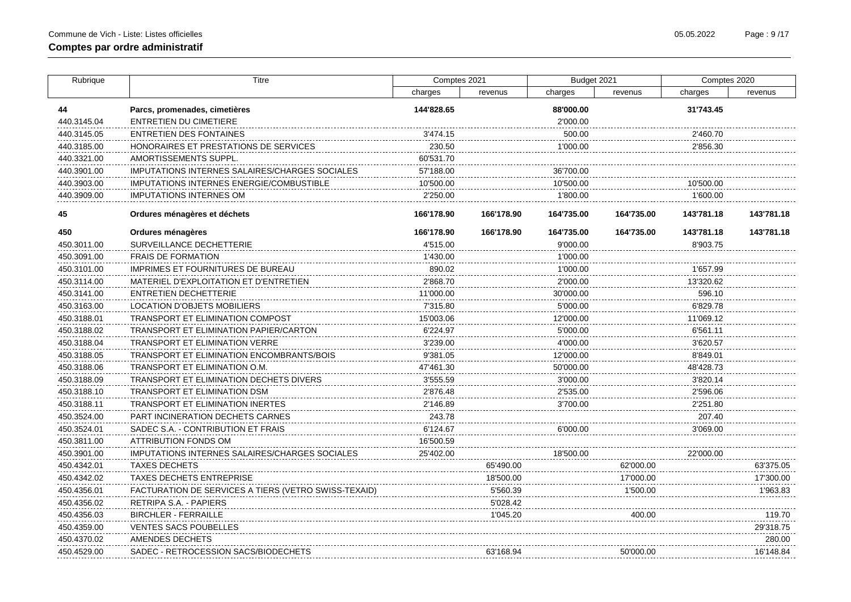$\mathbf{I}$ 

| Rubrique    | Titre                                                 | Comptes 2021 |            | Budget 2021 |            | Comptes 2020 |            |
|-------------|-------------------------------------------------------|--------------|------------|-------------|------------|--------------|------------|
|             |                                                       | charges      | revenus    | charges     | revenus    | charges      | revenus    |
| 44          | Parcs, promenades, cimetières                         | 144'828.65   |            | 88'000.00   |            | 31'743.45    |            |
| 440.3145.04 | <b>ENTRETIEN DU CIMETIERE</b>                         |              |            | 2'000.00    |            |              |            |
| 440.3145.05 | <b>ENTRETIEN DES FONTAINES</b>                        | 3'474.15     |            | 500.00      |            | 2'460.70     |            |
| 440.3185.00 | HONORAIRES ET PRESTATIONS DE SERVICES                 | 230.50       |            | 1'000.00    |            | 2'856.30     |            |
| 440.3321.00 | AMORTISSEMENTS SUPPL.                                 | 60'531.70    |            |             |            |              |            |
| 440.3901.00 | <b>IMPUTATIONS INTERNES SALAIRES/CHARGES SOCIALES</b> | 57'188.00    |            | 36'700.00   |            |              |            |
| 440.3903.00 | <b>IMPUTATIONS INTERNES ENERGIE/COMBUSTIBLE</b>       | 10'500.00    |            | 10'500.00   |            | 10'500.00    |            |
| 440.3909.00 | <b>IMPUTATIONS INTERNES OM</b>                        | 2'250.00     |            | 1'800.00    |            | 1'600.00     |            |
| 45          | Ordures ménagères et déchets                          | 166'178.90   | 166'178.90 | 164'735.00  | 164'735.00 | 143'781.18   | 143'781.18 |
| 450         | Ordures ménagères                                     | 166'178.90   | 166'178.90 | 164'735.00  | 164'735.00 | 143'781.18   | 143'781.18 |
| 450.3011.00 | SURVEILLANCE DECHETTERIE                              | 4'515.00     |            | 9'000.00    |            | 8'903.75     |            |
| 450.3091.00 | <b>FRAIS DE FORMATION</b>                             | 1'430.00     |            | 1'000.00    |            |              |            |
| 450.3101.00 | <b>IMPRIMES ET FOURNITURES DE BUREAU</b>              | 890.02       |            | 1'000.00    |            | 1'657.99     |            |
| 450.3114.00 | MATERIEL D'EXPLOITATION ET D'ENTRETIEN                | 2'868.70     |            | 2'000.00    |            | 13'320.62    |            |
| 450.3141.00 | <b>ENTRETIEN DECHETTERIE</b>                          | 11'000.00    |            | 30'000.00   |            | 596.10       |            |
| 450.3163.00 | LOCATION D'OBJETS MOBILIERS                           | 7'315.80     |            | 5'000.00    |            | 6'829.78     |            |
| 450.3188.01 | TRANSPORT ET ELIMINATION COMPOST                      | 15'003.06    |            | 12'000.00   |            | 11'069.12    |            |
| 450.3188.02 | TRANSPORT ET ELIMINATION PAPIER/CARTON                | 6'224.97     |            | 5'000.00    |            | 6'561.11     |            |
| 450.3188.04 | <b>TRANSPORT ET ELIMINATION VERRE</b>                 | 3'239.00     |            | 4'000.00    |            | 3'620.57     |            |
| 450.3188.05 | <b>TRANSPORT ET ELIMINATION ENCOMBRANTS/BOIS</b>      | 9'381.05     |            | 12'000.00   |            | 8'849.01     |            |
| 450.3188.06 | TRANSPORT ET ELIMINATION O.M.                         | 47'461.30    |            | 50'000.00   |            | 48'428.73    |            |
| 450.3188.09 | TRANSPORT ET ELIMINATION DECHETS DIVERS               | 3'555.59     |            | 3'000.00    |            | 3'820.14     |            |
| 450.3188.10 | TRANSPORT ET ELIMINATION DSM                          | 2'876.48     |            | 2'535.00    |            | 2'596.06     |            |
| 450.3188.11 | TRANSPORT ET ELIMINATION INERTES                      | 2'146.89     |            | 3'700.00    |            | 2'251.80     |            |
| 450.3524.00 | PART INCINERATION DECHETS CARNES                      | 243.78       |            |             |            | 207.40       |            |
| 450.3524.01 | SADEC S.A. - CONTRIBUTION ET FRAIS                    | 6'124.67     |            | 6'000.00    |            | 3'069.00     |            |
| 450.3811.00 | <b>ATTRIBUTION FONDS OM</b>                           | 16'500.59    |            |             |            |              |            |
| 450.3901.00 | IMPUTATIONS INTERNES SALAIRES/CHARGES SOCIALES        | 25'402.00    |            | 18'500.00   |            | 22'000.00    |            |
| 450.4342.01 | <b>TAXES DECHETS</b>                                  |              | 65'490.00  |             | 62'000.00  |              | 63'375.05  |
| 450.4342.02 | <b>TAXES DECHETS ENTREPRISE</b>                       |              | 18'500.00  |             | 17'000.00  |              | 17'300.00  |
| 450.4356.01 | FACTURATION DE SERVICES A TIERS (VETRO SWISS-TEXAID)  |              | 5'560.39   |             | 1'500.00   |              | 1'963.83   |
| 450.4356.02 | RETRIPA S.A. - PAPIERS                                |              | 5'028.42   |             |            |              |            |
| 450.4356.03 | <b>BIRCHLER - FERRAILLE</b>                           |              | 1'045.20   |             | 400.00     |              | 119.70     |
| 450.4359.00 | <b>VENTES SACS POUBELLES</b>                          |              |            |             |            |              | 29'318.75  |
| 450.4370.02 | AMENDES DECHETS                                       |              |            |             |            |              | 280.00     |
| 450.4529.00 | SADEC - RETROCESSION SACS/BIODECHETS                  |              | 63'168.94  |             | 50'000.00  |              | 16'148.84  |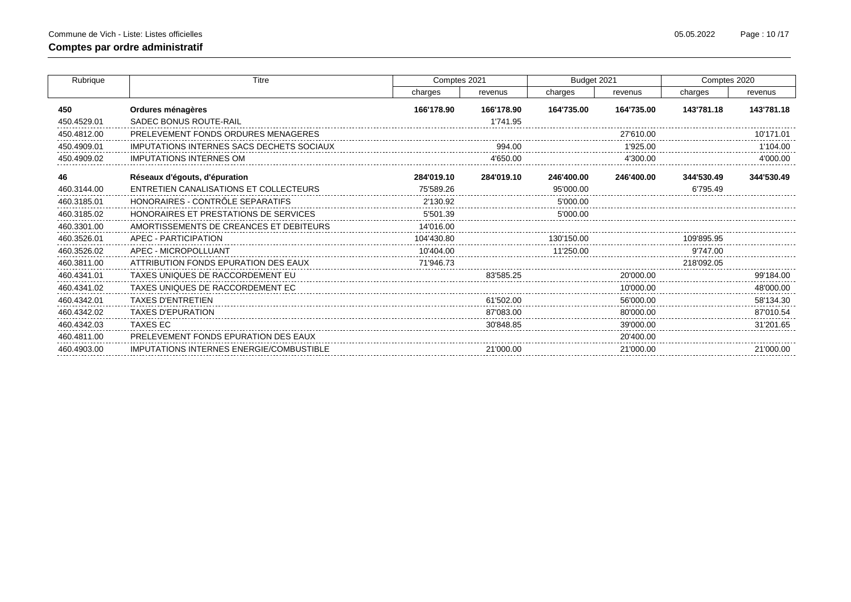| Rubrique    | <b>Titre</b>                              | Comptes 2021 |            | Budget 2021 |            | Comptes 2020 |            |
|-------------|-------------------------------------------|--------------|------------|-------------|------------|--------------|------------|
|             |                                           | charges      | revenus    | charges     | revenus    | charges      | revenus    |
| 450         | Ordures ménagères                         | 166'178.90   | 166'178.90 | 164'735.00  | 164'735.00 | 143'781.18   | 143'781.18 |
| 450.4529.01 | SADEC BONUS ROUTE-RAIL                    |              | 1'741.95   |             |            |              |            |
| 450.4812.00 | PRELEVEMENT FONDS ORDURES MENAGERES       |              |            |             | 27'610.00  |              | 10'171.01  |
| 450.4909.01 | IMPUTATIONS INTERNES SACS DECHETS SOCIAUX |              | 994.00     |             | 1'925.00   |              | 1'104.00   |
| 450.4909.02 | <b>IMPUTATIONS INTERNES OM</b>            |              | 4'650.00   |             | 4'300.00   |              | 4'000.00   |
| 46          | Réseaux d'égouts, d'épuration             | 284'019.10   | 284'019.10 | 246'400.00  | 246'400.00 | 344'530.49   | 344'530.49 |
| 460.3144.00 | ENTRETIEN CANALISATIONS ET COLLECTEURS    | 75'589.26    |            | 95'000.00   |            | 6'795.49     |            |
| 460.3185.01 | HONORAIRES - CONTRÔLE SEPARATIFS          | 2'130.92     |            | 5'000.00    |            |              |            |
| 460.3185.02 | HONORAIRES ET PRESTATIONS DE SERVICES     | 5'501.39     |            | 5'000.00    |            |              |            |
| 460.3301.00 | AMORTISSEMENTS DE CREANCES ET DEBITEURS   | 14'016.00    |            |             |            |              |            |
| 460.3526.01 | APEC - PARTICIPATION                      | 104'430.80   |            | 130'150.00  |            | 109'895.95   |            |
| 460.3526.02 | APEC - MICROPOLLUANT                      | 10'404.00    |            | 11'250.00   |            | 9'747.00     |            |
| 460.3811.00 | ATTRIBUTION FONDS EPURATION DES EAUX      | 71'946.73    |            |             |            | 218'092.05   |            |
| 460.4341.01 | TAXES UNIQUES DE RACCORDEMENT EU          |              | 83'585.25  |             | 20'000.00  |              | 99'184.00  |
| 460.4341.02 | TAXES UNIQUES DE RACCORDEMENT EC          |              |            |             | 10'000.00  |              | 48'000.00  |
| 460.4342.01 | <b>TAXES D'ENTRETIEN</b>                  |              | 61'502.00  |             | 56'000.00  |              | 58'134.30  |
| 460.4342.02 | <b>TAXES D'EPURATION</b>                  |              | 87'083.00  |             | 80'000.00  |              | 87'010.54  |
| 460.4342.03 | <b>TAXES EC</b>                           |              | 30'848.85  |             | 39'000.00  |              | 31'201.65  |
| 460.4811.00 | PRELEVEMENT FONDS EPURATION DES EAUX      |              |            |             | 20'400.00  |              |            |
| 460.4903.00 | IMPUTATIONS INTERNES ENERGIE/COMBUSTIBLE  |              | 21'000.00  |             | 21'000.00  |              | 21'000.00  |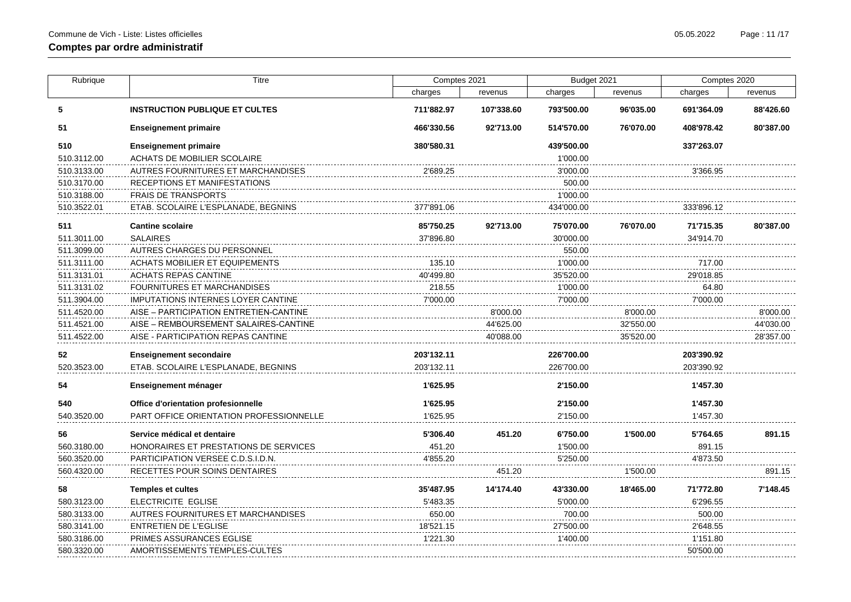| Rubrique    | <b>Titre</b>                              | Comptes 2021 |            | Budget 2021 |           | Comptes 2020 |           |
|-------------|-------------------------------------------|--------------|------------|-------------|-----------|--------------|-----------|
|             |                                           | charges      | revenus    | charges     | revenus   | charges      | revenus   |
| 5           | <b>INSTRUCTION PUBLIQUE ET CULTES</b>     | 711'882.97   | 107'338.60 | 793'500.00  | 96'035.00 | 691'364.09   | 88'426.60 |
| 51          | <b>Enseignement primaire</b>              | 466'330.56   | 92'713.00  | 514'570.00  | 76'070.00 | 408'978.42   | 80'387.00 |
| 510         | <b>Enseignement primaire</b>              | 380'580.31   |            | 439'500.00  |           | 337'263.07   |           |
| 510.3112.00 | <b>ACHATS DE MOBILIER SCOLAIRE</b>        |              |            | 1'000.00    |           |              |           |
| 510.3133.00 | AUTRES FOURNITURES ET MARCHANDISES        | 2'689.25     |            | 3'000.00    |           | 3'366.95     |           |
| 510.3170.00 | RECEPTIONS ET MANIFESTATIONS              |              |            | 500.00      |           |              |           |
| 510.3188.00 | <b>FRAIS DE TRANSPORTS</b>                |              |            | 1'000.00    |           |              |           |
| 510.3522.01 | ETAB. SCOLAIRE L'ESPLANADE, BEGNINS       | 377'891.06   |            | 434'000.00  |           | 333'896.12   |           |
| 511         | <b>Cantine scolaire</b>                   | 85'750.25    | 92'713.00  | 75'070.00   | 76'070.00 | 71'715.35    | 80'387.00 |
| 511.3011.00 | <b>SALAIRES</b>                           | 37'896.80    |            | 30'000.00   |           | 34'914.70    |           |
| 511.3099.00 | AUTRES CHARGES DU PERSONNEL               |              |            | 550.00      |           |              |           |
| 511.3111.00 | <b>ACHATS MOBILIER ET EQUIPEMENTS</b>     | 135.10       |            | 1'000.00    |           | 717.00       |           |
| 511.3131.01 | <b>ACHATS REPAS CANTINE</b>               | 40'499.80    |            | 35'520.00   |           | 29'018.85    |           |
| 511.3131.02 | <b>FOURNITURES ET MARCHANDISES</b>        | 218.55       |            | 1'000.00    |           | 64.80        |           |
| 511.3904.00 | <b>IMPUTATIONS INTERNES LOYER CANTINE</b> | 7'000.00     |            | 7'000.00    |           | 7'000.00     |           |
| 511.4520.00 | AISE - PARTICIPATION ENTRETIEN-CANTINE    |              | 8'000.00   |             | 8'000.00  |              | 8'000.00  |
| 511.4521.00 | AISE – REMBOURSEMENT SALAIRES-CANTINE     |              | 44'625.00  |             | 32'550.00 |              | 44'030.00 |
| 511.4522.00 | AISE - PARTICIPATION REPAS CANTINE        |              | 40'088.00  |             | 35'520.00 |              | 28'357.00 |
| 52          | <b>Enseignement secondaire</b>            | 203'132.11   |            | 226'700.00  |           | 203'390.92   |           |
| 520.3523.00 | ETAB. SCOLAIRE L'ESPLANADE, BEGNINS       | 203'132.11   |            | 226'700.00  |           | 203'390.92   |           |
| 54          | Enseignement ménager                      | 1'625.95     |            | 2'150.00    |           | 1'457.30     |           |
| 540         | Office d'orientation profesionnelle       | 1'625.95     |            | 2'150.00    |           | 1'457.30     |           |
| 540.3520.00 | PART OFFICE ORIENTATION PROFESSIONNELLE   | 1'625.95     |            | 2'150.00    |           | 1'457.30     |           |
| 56          | Service médical et dentaire               | 5'306.40     | 451.20     | 6'750.00    | 1'500.00  | 5'764.65     | 891.15    |
| 560.3180.00 | HONORAIRES ET PRESTATIONS DE SERVICES     | 451.20       |            | 1'500.00    |           | 891.15       |           |
| 560.3520.00 | PARTICIPATION VERSEE C.D.S.I.D.N.         | 4'855.20     |            | 5'250.00    |           | 4'873.50     |           |
| 560.4320.00 | RECETTES POUR SOINS DENTAIRES             |              | 451.20     |             | 1'500.00  |              | 891.15    |
| 58          | <b>Temples et cultes</b>                  | 35'487.95    | 14'174.40  | 43'330.00   | 18'465.00 | 71'772.80    | 7'148.45  |
| 580.3123.00 | ELECTRICITE EGLISE                        | 5'483.35     |            | 5'000.00    |           | 6'296.55     |           |
| 580.3133.00 | AUTRES FOURNITURES ET MARCHANDISES        | 650.00       |            | 700.00      |           | 500.00       |           |
| 580.3141.00 | <b>ENTRETIEN DE L'EGLISE</b>              | 18'521.15    |            | 27'500.00   |           | 2'648.55     |           |
| 580.3186.00 | PRIMES ASSURANCES EGLISE                  | 1'221.30     |            | 1'400.00    |           | 1'151.80     |           |
| 580.3320.00 | AMORTISSEMENTS TEMPLES-CULTES             |              |            |             |           | 50'500.00    |           |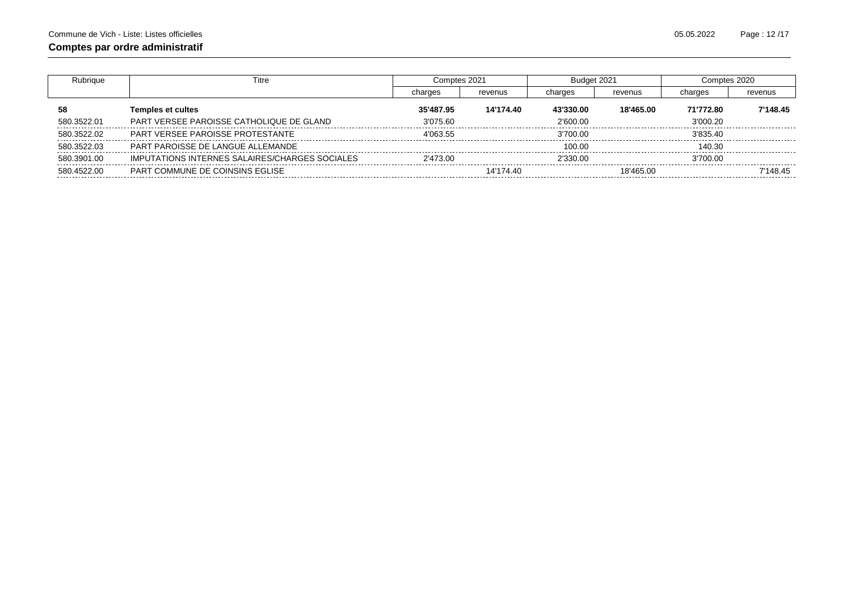| Rubrique    | Titre                                                 | Comptes 2021 |           | Budget 2021 |           | Comptes 2020 |          |
|-------------|-------------------------------------------------------|--------------|-----------|-------------|-----------|--------------|----------|
|             |                                                       | charges      | revenus   | charges     | revenus   | charges      | revenus  |
| 58          | <b>Temples et cultes</b>                              | 35'487.95    | 14'174.40 | 43'330.00   | 18'465.00 | 71'772.80    | 7'148.45 |
| 580.3522.01 | PART VERSEE PAROISSE CATHOLIQUE DE GLAND              | 3'075.60     |           | 2'600.00    |           | 3'000.20     |          |
| 580.3522.02 | PART VERSEE PAROISSE PROTESTANTE                      | 4'063.55     |           | 3'700.00    |           | 3'835.40     |          |
| 580.3522.03 | PART PAROISSE DE LANGUE ALLEMANDE                     |              |           | 100.00      |           | 140.30       |          |
| 580.3901.00 | <b>IMPUTATIONS INTERNES SALAIRES/CHARGES SOCIALES</b> | 2'473.00     |           | 2'330.00    |           | 3'700.00     |          |
| 580.4522.00 | PART COMMUNE DE COINSINS EGLISE                       |              | 14'174.40 |             | 18'465.00 |              | 7'148 45 |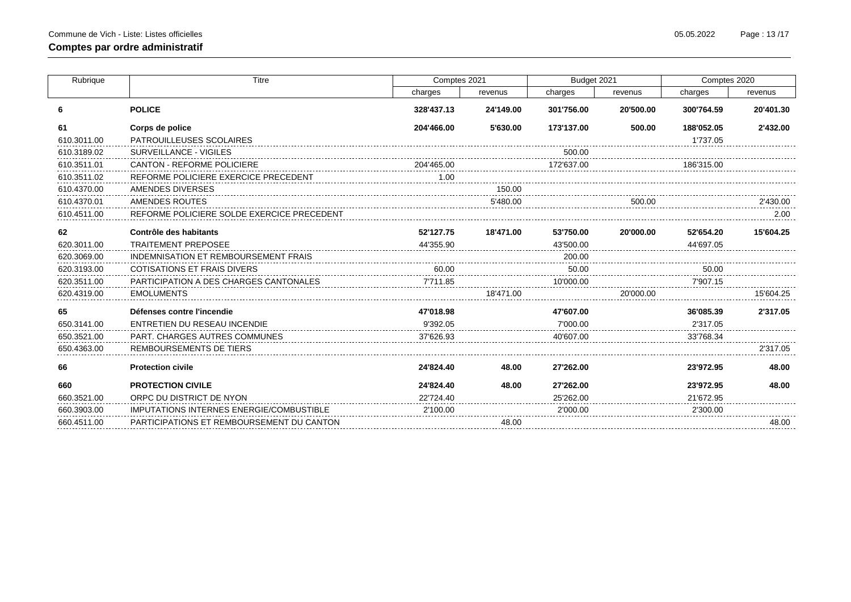| Rubrique    | Titre                                           |            | Comptes 2021 | Budget 2021 |           | Comptes 2020 |           |
|-------------|-------------------------------------------------|------------|--------------|-------------|-----------|--------------|-----------|
|             |                                                 | charges    | revenus      | charges     | revenus   | charges      | revenus   |
| 6           | <b>POLICE</b>                                   | 328'437.13 | 24'149.00    | 301'756.00  | 20'500.00 | 300'764.59   | 20'401.30 |
| 61          | Corps de police                                 | 204'466.00 | 5'630.00     | 173'137.00  | 500.00    | 188'052.05   | 2'432.00  |
| 610.3011.00 | PATROUILLEUSES SCOLAIRES                        |            |              |             |           | 1'737.05     |           |
| 610.3189.02 | SURVEILLANCE - VIGILES                          |            |              | 500.00      |           |              |           |
| 610.3511.01 | <b>CANTON - REFORME POLICIERE</b>               | 204'465.00 |              | 172'637.00  |           | 186'315.00   |           |
| 610.3511.02 | REFORME POLICIERE EXERCICE PRECEDENT            | 1.00       |              |             |           |              |           |
| 610.4370.00 | AMENDES DIVERSES                                |            | 150.00       |             |           |              |           |
| 610.4370.01 | AMENDES ROUTES                                  |            | 5'480.00     |             | 500.00    |              | 2'430.00  |
| 610.4511.00 | REFORME POLICIERE SOLDE EXERCICE PRECEDENT      |            |              |             |           |              | 2.00      |
| 62          | Contrôle des habitants                          | 52'127.75  | 18'471.00    | 53'750.00   | 20'000.00 | 52'654.20    | 15'604.25 |
| 620.3011.00 | <b>TRAITEMENT PREPOSEE</b>                      | 44'355.90  |              | 43'500.00   |           | 44'697.05    |           |
| 620.3069.00 | INDEMNISATION ET REMBOURSEMENT FRAIS            |            |              | 200.00      |           |              |           |
| 620.3193.00 | <b>COTISATIONS ET FRAIS DIVERS</b>              | 60.00      |              | 50.00       |           | 50.00        |           |
| 620.3511.00 | PARTICIPATION A DES CHARGES CANTONALES          | 7'711.85   |              | 10'000.00   |           | 7'907.15     |           |
| 620.4319.00 | <b>EMOLUMENTS</b>                               |            | 18'471.00    |             | 20'000.00 |              | 15'604.25 |
| 65          | Défenses contre l'incendie                      | 47'018.98  |              | 47'607.00   |           | 36'085.39    | 2'317.05  |
| 650.3141.00 | ENTRETIEN DU RESEAU INCENDIE                    | 9'392.05   |              | 7'000.00    |           | 2'317.05     |           |
| 650.3521.00 | <b>PART. CHARGES AUTRES COMMUNES</b>            | 37'626.93  |              | 40'607.00   |           | 33'768.34    |           |
| 650.4363.00 | REMBOURSEMENTS DE TIERS                         |            |              |             |           |              | 2'317.05  |
| 66          | <b>Protection civile</b>                        | 24'824.40  | 48.00        | 27'262.00   |           | 23'972.95    | 48.00     |
| 660         | <b>PROTECTION CIVILE</b>                        | 24'824.40  | 48.00        | 27'262.00   |           | 23'972.95    | 48.00     |
| 660.3521.00 | ORPC DU DISTRICT DE NYON                        | 22'724.40  |              | 25'262.00   |           | 21'672.95    |           |
| 660.3903.00 | <b>IMPUTATIONS INTERNES ENERGIE/COMBUSTIBLE</b> | 2'100.00   |              | 2'000.00    |           | 2'300.00     |           |
| 660.4511.00 | PARTICIPATIONS ET REMBOURSEMENT DU CANTON       |            | 48.00        |             |           |              | 48.00     |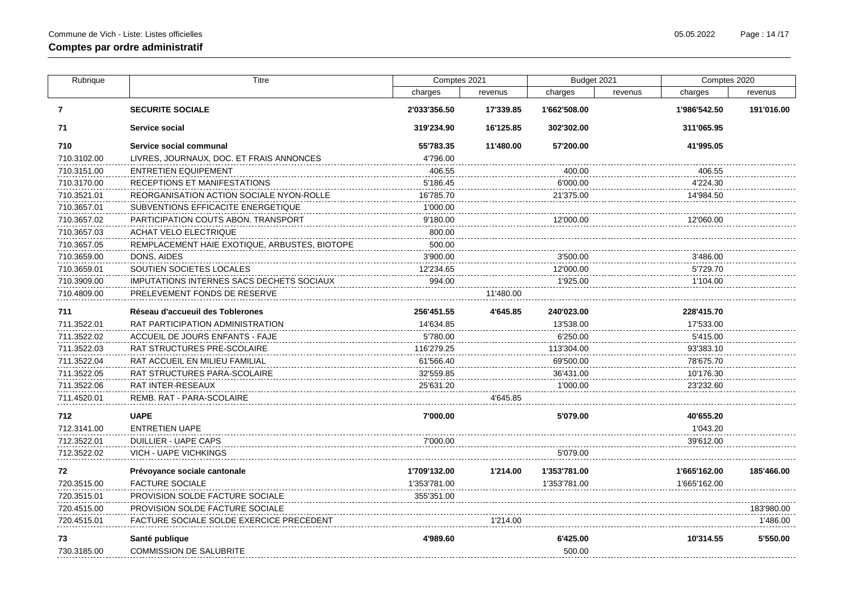| Rubrique     | Titre                                         | Comptes 2021 |           | Budget 2021  |         | Comptes 2020 |            |
|--------------|-----------------------------------------------|--------------|-----------|--------------|---------|--------------|------------|
|              |                                               | charges      | revenus   | charges      | revenus | charges      | revenus    |
| $\mathbf{7}$ | <b>SECURITE SOCIALE</b>                       | 2'033'356.50 | 17'339.85 | 1'662'508.00 |         | 1'986'542.50 | 191'016.00 |
| 71           | Service social                                | 319'234.90   | 16'125.85 | 302'302.00   |         | 311'065.95   |            |
| 710          | Service social communal                       | 55'783.35    | 11'480.00 | 57'200.00    |         | 41'995.05    |            |
| 710.3102.00  | LIVRES, JOURNAUX, DOC. ET FRAIS ANNONCES      | 4'796.00     |           |              |         |              |            |
| 710.3151.00  | <b>ENTRETIEN EQUIPEMENT</b>                   | 406.55       |           | 400.00       |         | 406.55       |            |
| 710.3170.00  | RECEPTIONS ET MANIFESTATIONS                  | 5'186.45     |           | 6'000.00     |         | 4'224.30     |            |
| 710.3521.01  | REORGANISATION ACTION SOCIALE NYON-ROLLE      | 16'785.70    |           | 21'375.00    |         | 14'984.50    |            |
| 710.3657.01  | SUBVENTIONS EFFICACITE ENERGETIQUE            | 1'000.00     |           |              |         |              |            |
| 710.3657.02  | PARTICIPATION COUTS ABON. TRANSPORT           | 9'180.00     |           | 12'000.00    |         | 12'060.00    |            |
| 710.3657.03  | <b>ACHAT VELO ELECTRIQUE</b>                  | 800.00       |           |              |         |              |            |
| 710.3657.05  | REMPLACEMENT HAIE EXOTIQUE, ARBUSTES, BIOTOPE | 500.00       |           |              |         |              |            |
| 710.3659.00  | DONS, AIDES                                   | 3'900.00     |           | 3'500.00     |         | 3'486.00     |            |
| 710.3659.01  | SOUTIEN SOCIETES LOCALES                      | 12'234.65    |           | 12'000.00    |         | 5'729.70     |            |
| 710.3909.00  | IMPUTATIONS INTERNES SACS DECHETS SOCIAUX     | 994.00       |           | 1'925.00     |         | 1'104.00     |            |
| 710.4809.00  | PRELEVEMENT FONDS DE RESERVE                  |              | 11'480.00 |              |         |              |            |
| 711          | Réseau d'accueuil des Toblerones              | 256'451.55   | 4'645.85  | 240'023.00   |         | 228'415.70   |            |
| 711.3522.01  | RAT PARTICIPATION ADMINISTRATION              | 14'634.85    |           | 13'538.00    |         | 17'533.00    |            |
| 711.3522.02  | ACCUEIL DE JOURS ENFANTS - FAJE               | 5'780.00     |           | 6'250.00     |         | 5'415.00     |            |
| 711.3522.03  | RAT STRUCTURES PRE-SCOLAIRE                   | 116'279.25   |           | 113'304.00   |         | 93'383.10    |            |
| 711.3522.04  | RAT ACCUEIL EN MILIEU FAMILIAL                | 61'566.40    |           | 69'500.00    |         | 78'675.70    |            |
| 711.3522.05  | RAT STRUCTURES PARA-SCOLAIRE                  | 32'559.85    |           | 36'431.00    |         | 10'176.30    |            |
| 711.3522.06  | RAT INTER-RESEAUX                             | 25'631.20    |           | 1'000.00     |         | 23'232.60    |            |
| 711.4520.01  | REMB. RAT - PARA-SCOLAIRE                     |              | 4'645.85  |              |         |              |            |
| 712          | <b>UAPE</b>                                   | 7'000.00     |           | 5'079.00     |         | 40'655.20    |            |
| 712.3141.00  | <b>ENTRETIEN UAPE</b>                         |              |           |              |         | 1'043.20     |            |
| 712.3522.01  | <b>DUILLIER - UAPE CAPS</b>                   | 7'000.00     |           |              |         | 39'612.00    |            |
| 712.3522.02  | <b>VICH - UAPE VICHKINGS</b>                  |              |           | 5'079.00     |         |              |            |
| 72           | Prévoyance sociale cantonale                  | 1'709'132.00 | 1'214.00  | 1'353'781.00 |         | 1'665'162.00 | 185'466.00 |
| 720.3515.00  | <b>FACTURE SOCIALE</b>                        | 1'353'781.00 |           | 1'353'781.00 |         | 1'665'162.00 |            |
| 720.3515.01  | PROVISION SOLDE FACTURE SOCIALE               | 355'351.00   |           |              |         |              |            |
| 720.4515.00  | PROVISION SOLDE FACTURE SOCIALE               |              |           |              |         |              | 183'980.00 |
| 720.4515.01  | FACTURE SOCIALE SOLDE EXERCICE PRECEDENT      |              | 1'214.00  |              |         |              | 1'486.00   |
| 73           | Santé publique                                | 4'989.60     |           | 6'425.00     |         | 10'314.55    | 5'550.00   |
| 730.3185.00  | <b>COMMISSION DE SALUBRITE</b>                |              |           | 500.00       |         |              |            |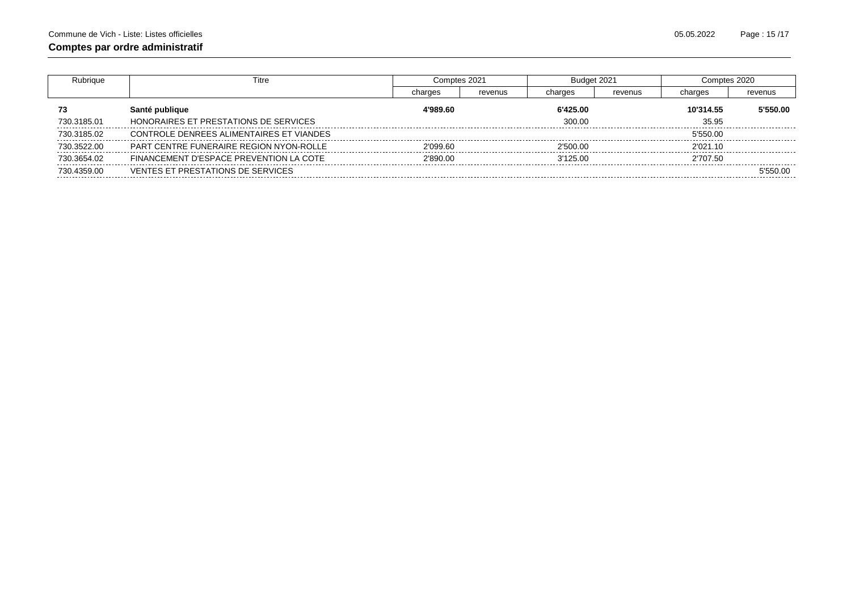| ubriaue     | ïtre                                     | Comptes 2021 |         | Budget 2021 |         | Comptes 2020 |          |
|-------------|------------------------------------------|--------------|---------|-------------|---------|--------------|----------|
|             |                                          | charges      | revenus | charges     | revenus | charges      | revenus  |
| 73          | Santé publique                           | 4'989.60     |         | 6'425.00    |         | 10'314.55    | 5'550.00 |
| 730.3185.01 | HONORAIRES ET PRESTATIONS DE SERVICES    |              |         | 300.00      |         | 35.95        |          |
| 730.3185.02 | CONTROLE DENREES ALIMENTAIRES ET VIANDES |              |         |             |         | 5'550.00     |          |
| 730.3522.00 | PART CENTRE FUNERAIRE REGION NYON-ROLLE  | 2'099.60     |         | 2'500.00    |         | 2'021.10     |          |
| 730.3654.02 | FINANCEMENT D'ESPACE PREVENTION LA COTE  | 2'890.00     |         | 3'125.00    |         | 2'707.50     |          |
| 730.4359.00 | VENTES ET PRESTATIONS DE SERVICES        |              |         |             |         |              | 5'550.00 |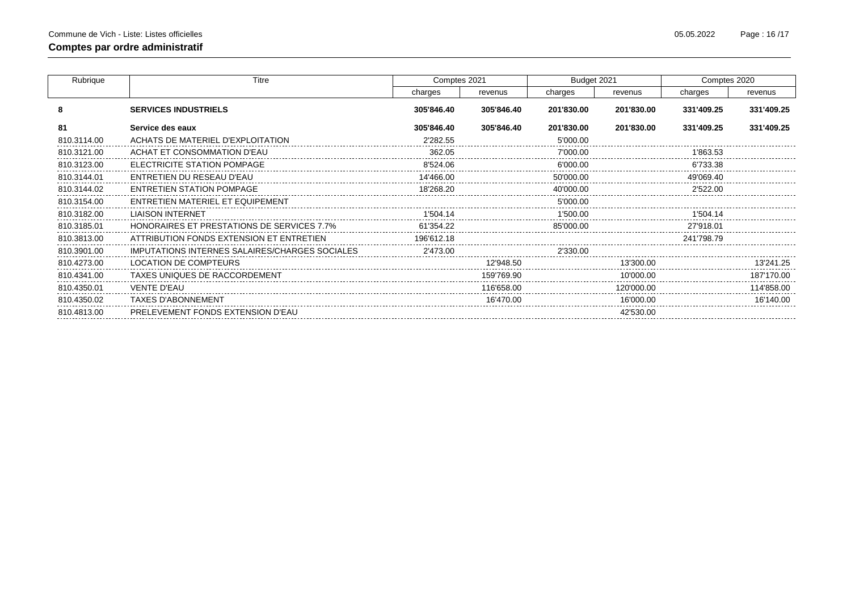| Rubrique    | Titre                                          | Comptes 2021 |            | Budget 2021 |            | Comptes 2020 |            |
|-------------|------------------------------------------------|--------------|------------|-------------|------------|--------------|------------|
|             |                                                | charges      | revenus    | charges     | revenus    | charges      | revenus    |
| 8           | <b>SERVICES INDUSTRIELS</b>                    | 305'846.40   | 305'846.40 | 201'830.00  | 201'830.00 | 331'409.25   | 331'409.25 |
| 81          | Service des eaux                               | 305'846.40   | 305'846.40 | 201'830.00  | 201'830.00 | 331'409.25   | 331'409.25 |
| 810.3114.00 | ACHATS DE MATERIEL D'EXPLOITATION              | 2'282.55     |            | 5'000.00    |            |              |            |
| 810.3121.00 | ACHAT ET CONSOMMATION D'EAU                    | 362.05       |            | 7'000.00    |            | 1'863.53     |            |
| 810.3123.00 | ELECTRICITE STATION POMPAGE                    | 8'524.06     |            | 6'000.00    |            | 6'733.38     |            |
| 810.3144.01 | ENTRETIEN DU RESEAU D'EAU                      | 14'466.00    |            | 50'000.00   |            | 49'069.40    |            |
| 810.3144.02 | <b>ENTRETIEN STATION POMPAGE</b>               | 18'268.20    |            | 40'000.00   |            | 2'522.00     |            |
| 810.3154.00 | ENTRETIEN MATERIEL ET EQUIPEMENT               |              |            | 5'000.00    |            |              |            |
| 810.3182.00 | <b>LIAISON INTERNET</b>                        | 1'504.14     |            | 1'500.00    |            | 1'504.14     |            |
| 810.3185.01 | HONORAIRES ET PRESTATIONS DE SERVICES 7.7%     | 61'354.22    |            | 85'000.00   |            | 27'918.01    |            |
| 810.3813.00 | ATTRIBUTION FONDS EXTENSION ET ENTRETIEN       | 196'612.18   |            |             |            | 241'798.79   |            |
| 810.3901.00 | IMPUTATIONS INTERNES SALAIRES/CHARGES SOCIALES | 2'473.00     |            | 2'330.00    |            |              |            |
| 810.4273.00 | LOCATION DE COMPTEURS                          |              | 12'948.50  |             | 13'300.00  |              | 13'241.25  |
| 810.4341.00 | TAXES UNIQUES DE RACCORDEMENT                  |              | 159'769.90 |             | 10'000.00  |              | 187'170.00 |
| 810.4350.01 | <b>VENTE D'EAU</b>                             |              | 116'658.00 |             | 120'000.00 |              | 114'858.00 |
| 810.4350.02 | <b>TAXES D'ABONNEMENT</b>                      |              | 16'470.00  |             | 16'000.00  |              | 16'140.00  |
| 810.4813.00 | PRELEVEMENT FONDS EXTENSION D'EAU              |              |            |             | 42'530.00  |              |            |